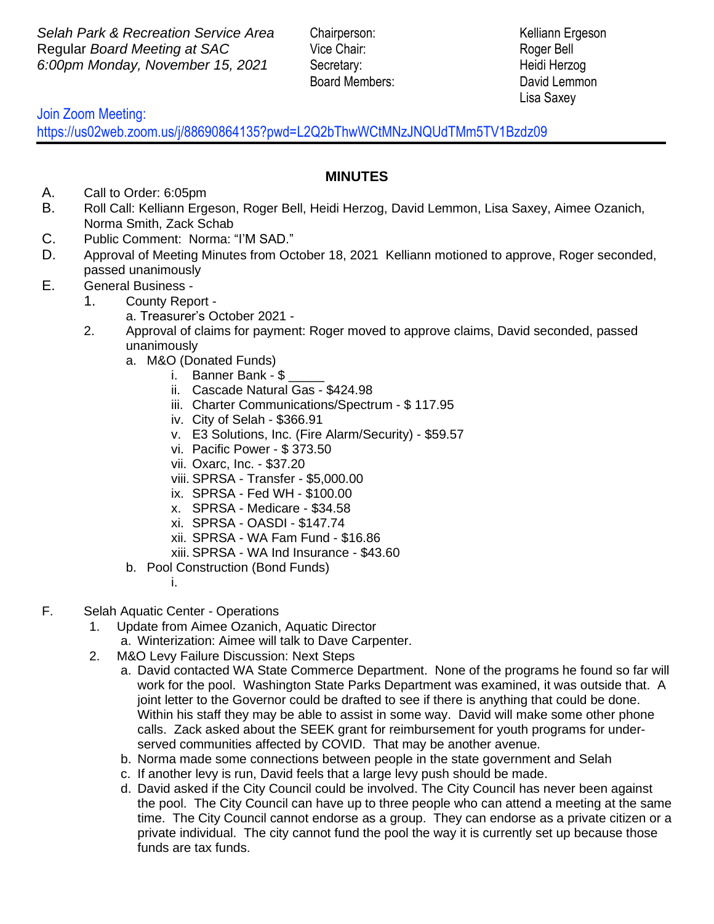**Selah Park & Recreation Service Area** Chairperson: Kelliann Ergeson Regular *Board Meeting at SAC* Vice Chair: Roger Bell *6:00pm Monday, November 15, 2021* Secretary: Heidi Herzog

Board Members: David Lemmon Lisa Saxey

 Join Zoom Meeting:

https://us02web.zoom.us/j/88690864135?pwd=L2Q2bThwWCtMNzJNQUdTMm5TV1Bzdz09

## **MINUTES**  $\overline{a}$

- A. Call to Order: 6:05pm
- B. Roll Call: Kelliann Ergeson, Roger Bell, Heidi Herzog, David Lemmon, Lisa Saxey, Aimee Ozanich, Norma Smith, Zack Schab
- C. Public Comment: Norma: "I'M SAD."
- D. Approval of Meeting Minutes from October 18, 2021 Kelliann motioned to approve, Roger seconded, passed unanimously
- E. General Business
	- 1. County Report
		- a. Treasurer's October 2021 -
	- 2. Approval of claims for payment: Roger moved to approve claims, David seconded, passed unanimously
		- a. M&O (Donated Funds)
			- i. Banner Bank \$
			- ii. Cascade Natural Gas \$424.98
			- iii. Charter Communications/Spectrum \$ 117.95
			- iv. City of Selah \$366.91
			- v. E3 Solutions, Inc. (Fire Alarm/Security) \$59.57
			- vi. Pacific Power \$ 373.50
			- vii. Oxarc, Inc. \$37.20
			- viii. SPRSA Transfer \$5,000.00
			- ix. SPRSA Fed WH \$100.00
			- x. SPRSA Medicare \$34.58
			- xi. SPRSA OASDI \$147.74
			- xii. SPRSA WA Fam Fund \$16.86
			- xiii. SPRSA WA Ind Insurance \$43.60
		- b. Pool Construction (Bond Funds)
			- i.
- F. Selah Aquatic Center Operations
	- 1. Update from Aimee Ozanich, Aquatic Director a. Winterization: Aimee will talk to Dave Carpenter.
	- 2. M&O Levy Failure Discussion: Next Steps
		- a. David contacted WA State Commerce Department. None of the programs he found so far will work for the pool. Washington State Parks Department was examined, it was outside that. A joint letter to the Governor could be drafted to see if there is anything that could be done. Within his staff they may be able to assist in some way. David will make some other phone calls. Zack asked about the SEEK grant for reimbursement for youth programs for underserved communities affected by COVID. That may be another avenue.
		- b. Norma made some connections between people in the state government and Selah
		- c. If another levy is run, David feels that a large levy push should be made.
		- d. David asked if the City Council could be involved. The City Council has never been against the pool. The City Council can have up to three people who can attend a meeting at the same time. The City Council cannot endorse as a group. They can endorse as a private citizen or a private individual. The city cannot fund the pool the way it is currently set up because those funds are tax funds.